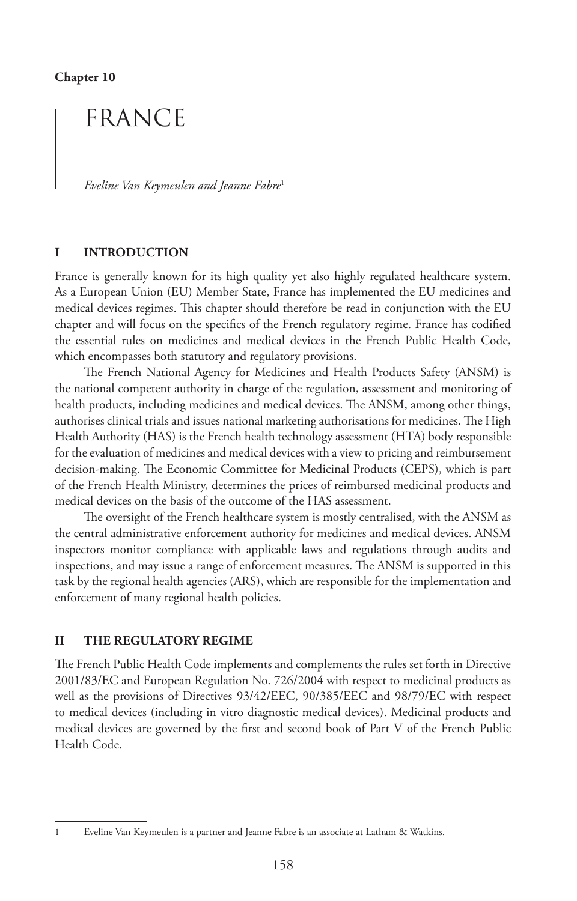# FRANCE

*Eveline Van Keymeulen and Jeanne Fabre*<sup>1</sup>

### **I INTRODUCTION**

France is generally known for its high quality yet also highly regulated healthcare system. As a European Union (EU) Member State, France has implemented the EU medicines and medical devices regimes. This chapter should therefore be read in conjunction with the EU chapter and will focus on the specifics of the French regulatory regime. France has codified the essential rules on medicines and medical devices in the French Public Health Code, which encompasses both statutory and regulatory provisions.

The French National Agency for Medicines and Health Products Safety (ANSM) is the national competent authority in charge of the regulation, assessment and monitoring of health products, including medicines and medical devices. The ANSM, among other things, authorises clinical trials and issues national marketing authorisations for medicines. The High Health Authority (HAS) is the French health technology assessment (HTA) body responsible for the evaluation of medicines and medical devices with a view to pricing and reimbursement decision-making. The Economic Committee for Medicinal Products (CEPS), which is part of the French Health Ministry, determines the prices of reimbursed medicinal products and medical devices on the basis of the outcome of the HAS assessment.

The oversight of the French healthcare system is mostly centralised, with the ANSM as the central administrative enforcement authority for medicines and medical devices. ANSM inspectors monitor compliance with applicable laws and regulations through audits and inspections, and may issue a range of enforcement measures. The ANSM is supported in this task by the regional health agencies (ARS), which are responsible for the implementation and enforcement of many regional health policies.

### **II THE REGULATORY REGIME**

The French Public Health Code implements and complements the rules set forth in Directive 2001/83/EC and European Regulation No. 726/2004 with respect to medicinal products as well as the provisions of Directives 93/42/EEC, 90/385/EEC and 98/79/EC with respect to medical devices (including in vitro diagnostic medical devices). Medicinal products and medical devices are governed by the first and second book of Part V of the French Public Health Code.

<sup>1</sup> Eveline Van Keymeulen is a partner and Jeanne Fabre is an associate at Latham & Watkins.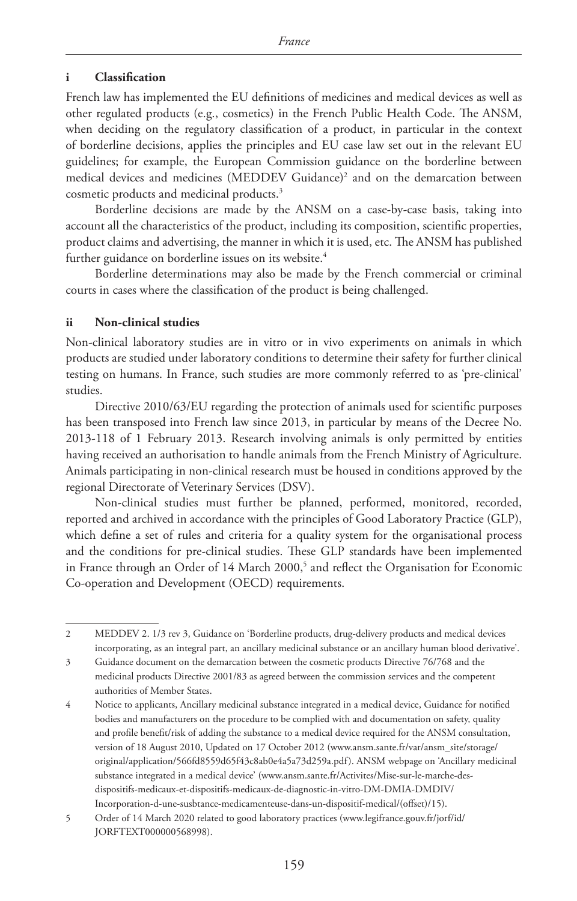# **i Classification**

French law has implemented the EU definitions of medicines and medical devices as well as other regulated products (e.g., cosmetics) in the French Public Health Code. The ANSM, when deciding on the regulatory classification of a product, in particular in the context of borderline decisions, applies the principles and EU case law set out in the relevant EU guidelines; for example, the European Commission guidance on the borderline between medical devices and medicines (MEDDEV Guidance)2 and on the demarcation between cosmetic products and medicinal products.3

Borderline decisions are made by the ANSM on a case-by-case basis, taking into account all the characteristics of the product, including its composition, scientific properties, product claims and advertising, the manner in which it is used, etc. The ANSM has published further guidance on borderline issues on its website.<sup>4</sup>

Borderline determinations may also be made by the French commercial or criminal courts in cases where the classification of the product is being challenged.

# **ii Non-clinical studies**

Non-clinical laboratory studies are in vitro or in vivo experiments on animals in which products are studied under laboratory conditions to determine their safety for further clinical testing on humans. In France, such studies are more commonly referred to as 'pre-clinical' studies.

Directive 2010/63/EU regarding the protection of animals used for scientific purposes has been transposed into French law since 2013, in particular by means of the Decree No. 2013-118 of 1 February 2013. Research involving animals is only permitted by entities having received an authorisation to handle animals from the French Ministry of Agriculture. Animals participating in non-clinical research must be housed in conditions approved by the regional Directorate of Veterinary Services (DSV).

Non-clinical studies must further be planned, performed, monitored, recorded, reported and archived in accordance with the principles of Good Laboratory Practice (GLP), which define a set of rules and criteria for a quality system for the organisational process and the conditions for pre-clinical studies. These GLP standards have been implemented in France through an Order of 14 March 2000,<sup>5</sup> and reflect the Organisation for Economic Co-operation and Development (OECD) requirements.

<sup>2</sup> MEDDEV 2. 1/3 rev 3, Guidance on 'Borderline products, drug-delivery products and medical devices incorporating, as an integral part, an ancillary medicinal substance or an ancillary human blood derivative'.

<sup>3</sup> Guidance document on the demarcation between the cosmetic products Directive 76/768 and the medicinal products Directive 2001/83 as agreed between the commission services and the competent authorities of Member States.

<sup>4</sup> Notice to applicants, Ancillary medicinal substance integrated in a medical device, Guidance for notified bodies and manufacturers on the procedure to be complied with and documentation on safety, quality and profile benefit/risk of adding the substance to a medical device required for the ANSM consultation, version of 18 August 2010, Updated on 17 October 2012 (www.ansm.sante.fr/var/ansm\_site/storage/ original/application/566fd8559d65f43c8ab0e4a5a73d259a.pdf). ANSM webpage on 'Ancillary medicinal substance integrated in a medical device' (www.ansm.sante.fr/Activites/Mise-sur-le-marche-desdispositifs-medicaux-et-dispositifs-medicaux-de-diagnostic-in-vitro-DM-DMIA-DMDIV/ Incorporation-d-une-susbtance-medicamenteuse-dans-un-dispositif-medical/(offset)/15).

<sup>5</sup> Order of 14 March 2020 related to good laboratory practices (www.legifrance.gouv.fr/jorf/id/ JORFTEXT000000568998).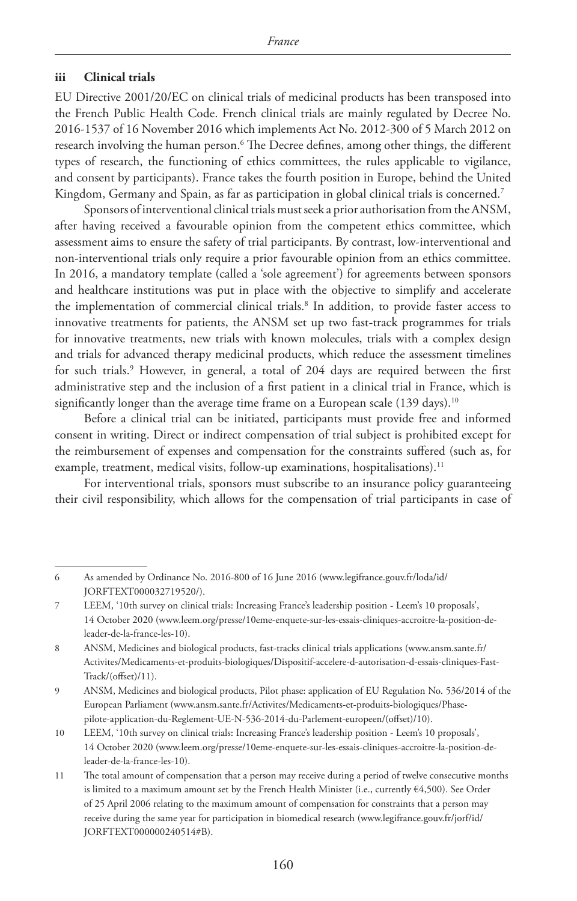# **iii Clinical trials**

EU Directive 2001/20/EC on clinical trials of medicinal products has been transposed into the French Public Health Code. French clinical trials are mainly regulated by Decree No. 2016-1537 of 16 November 2016 which implements Act No. 2012-300 of 5 March 2012 on research involving the human person.6 The Decree defines, among other things, the different types of research, the functioning of ethics committees, the rules applicable to vigilance, and consent by participants). France takes the fourth position in Europe, behind the United Kingdom, Germany and Spain, as far as participation in global clinical trials is concerned.<sup>7</sup>

Sponsors of interventional clinical trials must seek a prior authorisation from the ANSM, after having received a favourable opinion from the competent ethics committee, which assessment aims to ensure the safety of trial participants. By contrast, low-interventional and non-interventional trials only require a prior favourable opinion from an ethics committee. In 2016, a mandatory template (called a 'sole agreement') for agreements between sponsors and healthcare institutions was put in place with the objective to simplify and accelerate the implementation of commercial clinical trials.8 In addition, to provide faster access to innovative treatments for patients, the ANSM set up two fast-track programmes for trials for innovative treatments, new trials with known molecules, trials with a complex design and trials for advanced therapy medicinal products, which reduce the assessment timelines for such trials.9 However, in general, a total of 204 days are required between the first administrative step and the inclusion of a first patient in a clinical trial in France, which is significantly longer than the average time frame on a European scale (139 days).<sup>10</sup>

Before a clinical trial can be initiated, participants must provide free and informed consent in writing. Direct or indirect compensation of trial subject is prohibited except for the reimbursement of expenses and compensation for the constraints suffered (such as, for example, treatment, medical visits, follow-up examinations, hospitalisations).<sup>11</sup>

For interventional trials, sponsors must subscribe to an insurance policy guaranteeing their civil responsibility, which allows for the compensation of trial participants in case of

<sup>6</sup> As amended by Ordinance No. 2016-800 of 16 June 2016 (www.legifrance.gouv.fr/loda/id/ JORFTEXT000032719520/).

<sup>7</sup> LEEM, '10th survey on clinical trials: Increasing France's leadership position - Leem's 10 proposals', 14 October 2020 (www.leem.org/presse/10eme-enquete-sur-les-essais-cliniques-accroitre-la-position-deleader-de-la-france-les-10).

<sup>8</sup> ANSM, Medicines and biological products, fast-tracks clinical trials applications (www.ansm.sante.fr/ Activites/Medicaments-et-produits-biologiques/Dispositif-accelere-d-autorisation-d-essais-cliniques-Fast-Track/(offset)/11).

<sup>9</sup> ANSM, Medicines and biological products, Pilot phase: application of EU Regulation No. 536/2014 of the European Parliament (www.ansm.sante.fr/Activites/Medicaments-et-produits-biologiques/Phasepilote-application-du-Reglement-UE-N-536-2014-du-Parlement-europeen/(offset)/10).

<sup>10</sup> LEEM, '10th survey on clinical trials: Increasing France's leadership position - Leem's 10 proposals', 14 October 2020 (www.leem.org/presse/10eme-enquete-sur-les-essais-cliniques-accroitre-la-position-deleader-de-la-france-les-10).

<sup>11</sup> The total amount of compensation that a person may receive during a period of twelve consecutive months is limited to a maximum amount set by the French Health Minister (i.e., currently €4,500). See Order of 25 April 2006 relating to the maximum amount of compensation for constraints that a person may receive during the same year for participation in biomedical research (www.legifrance.gouv.fr/jorf/id/ JORFTEXT000000240514#B).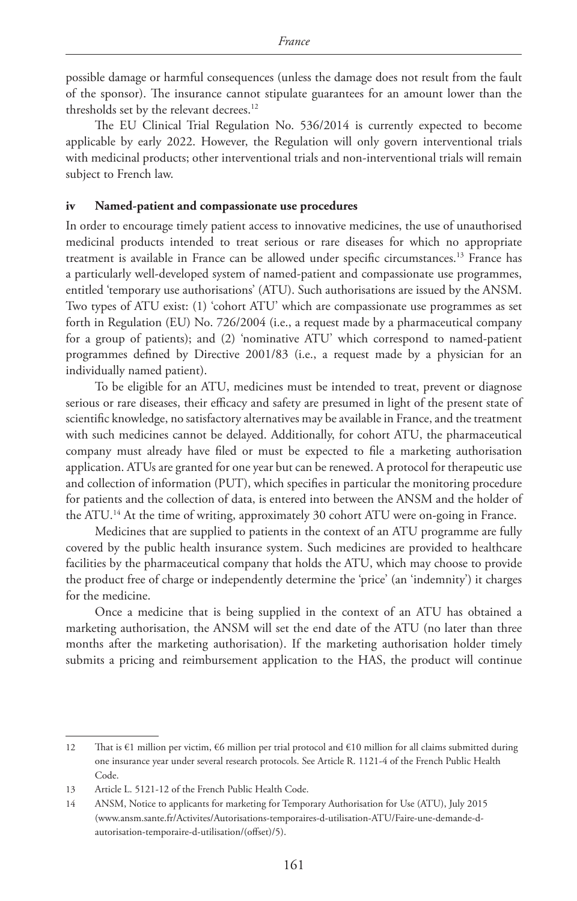possible damage or harmful consequences (unless the damage does not result from the fault of the sponsor). The insurance cannot stipulate guarantees for an amount lower than the thresholds set by the relevant decrees.<sup>12</sup>

The EU Clinical Trial Regulation No. 536/2014 is currently expected to become applicable by early 2022. However, the Regulation will only govern interventional trials with medicinal products; other interventional trials and non-interventional trials will remain subject to French law.

#### **iv Named-patient and compassionate use procedures**

In order to encourage timely patient access to innovative medicines, the use of unauthorised medicinal products intended to treat serious or rare diseases for which no appropriate treatment is available in France can be allowed under specific circumstances.13 France has a particularly well-developed system of named-patient and compassionate use programmes, entitled 'temporary use authorisations' (ATU). Such authorisations are issued by the ANSM. Two types of ATU exist: (1) 'cohort ATU' which are compassionate use programmes as set forth in Regulation (EU) No. 726/2004 (i.e., a request made by a pharmaceutical company for a group of patients); and (2) 'nominative ATU' which correspond to named-patient programmes defined by Directive 2001/83 (i.e., a request made by a physician for an individually named patient).

To be eligible for an ATU, medicines must be intended to treat, prevent or diagnose serious or rare diseases, their efficacy and safety are presumed in light of the present state of scientific knowledge, no satisfactory alternatives may be available in France, and the treatment with such medicines cannot be delayed. Additionally, for cohort ATU, the pharmaceutical company must already have filed or must be expected to file a marketing authorisation application. ATUs are granted for one year but can be renewed. A protocol for therapeutic use and collection of information (PUT), which specifies in particular the monitoring procedure for patients and the collection of data, is entered into between the ANSM and the holder of the ATU.<sup>14</sup> At the time of writing, approximately 30 cohort ATU were on-going in France.

Medicines that are supplied to patients in the context of an ATU programme are fully covered by the public health insurance system. Such medicines are provided to healthcare facilities by the pharmaceutical company that holds the ATU, which may choose to provide the product free of charge or independently determine the 'price' (an 'indemnity') it charges for the medicine.

Once a medicine that is being supplied in the context of an ATU has obtained a marketing authorisation, the ANSM will set the end date of the ATU (no later than three months after the marketing authorisation). If the marketing authorisation holder timely submits a pricing and reimbursement application to the HAS, the product will continue

<sup>12</sup> That is €1 million per victim, €6 million per trial protocol and €10 million for all claims submitted during one insurance year under several research protocols. See Article R. 1121-4 of the French Public Health Code.

<sup>13</sup> Article L. 5121-12 of the French Public Health Code.

<sup>14</sup> ANSM, Notice to applicants for marketing for Temporary Authorisation for Use (ATU), July 2015 (www.ansm.sante.fr/Activites/Autorisations-temporaires-d-utilisation-ATU/Faire-une-demande-dautorisation-temporaire-d-utilisation/(offset)/5).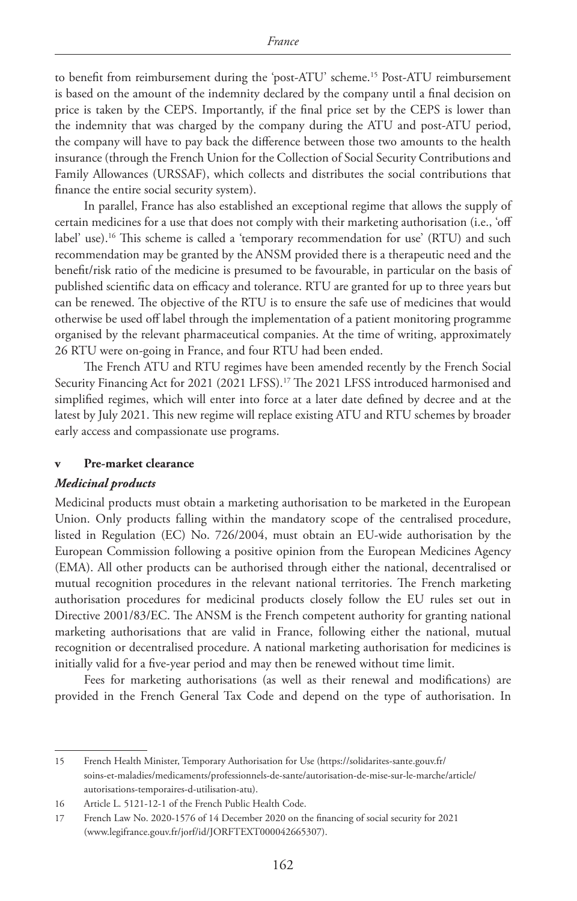to benefit from reimbursement during the 'post-ATU' scheme.15 Post-ATU reimbursement is based on the amount of the indemnity declared by the company until a final decision on price is taken by the CEPS. Importantly, if the final price set by the CEPS is lower than the indemnity that was charged by the company during the ATU and post-ATU period, the company will have to pay back the difference between those two amounts to the health insurance (through the French Union for the Collection of Social Security Contributions and Family Allowances (URSSAF), which collects and distributes the social contributions that finance the entire social security system).

In parallel, France has also established an exceptional regime that allows the supply of certain medicines for a use that does not comply with their marketing authorisation (i.e., 'off label' use).<sup>16</sup> This scheme is called a 'temporary recommendation for use' (RTU) and such recommendation may be granted by the ANSM provided there is a therapeutic need and the benefit/risk ratio of the medicine is presumed to be favourable, in particular on the basis of published scientific data on efficacy and tolerance. RTU are granted for up to three years but can be renewed. The objective of the RTU is to ensure the safe use of medicines that would otherwise be used off label through the implementation of a patient monitoring programme organised by the relevant pharmaceutical companies. At the time of writing, approximately 26 RTU were on-going in France, and four RTU had been ended.

The French ATU and RTU regimes have been amended recently by the French Social Security Financing Act for 2021 (2021 LFSS).17 The 2021 LFSS introduced harmonised and simplified regimes, which will enter into force at a later date defined by decree and at the latest by July 2021. This new regime will replace existing ATU and RTU schemes by broader early access and compassionate use programs.

### **v Pre-market clearance**

#### *Medicinal products*

Medicinal products must obtain a marketing authorisation to be marketed in the European Union. Only products falling within the mandatory scope of the centralised procedure, listed in Regulation (EC) No. 726/2004, must obtain an EU-wide authorisation by the European Commission following a positive opinion from the European Medicines Agency (EMA). All other products can be authorised through either the national, decentralised or mutual recognition procedures in the relevant national territories. The French marketing authorisation procedures for medicinal products closely follow the EU rules set out in Directive 2001/83/EC. The ANSM is the French competent authority for granting national marketing authorisations that are valid in France, following either the national, mutual recognition or decentralised procedure. A national marketing authorisation for medicines is initially valid for a five-year period and may then be renewed without time limit.

Fees for marketing authorisations (as well as their renewal and modifications) are provided in the French General Tax Code and depend on the type of authorisation. In

<sup>15</sup> French Health Minister, Temporary Authorisation for Use (https://solidarites-sante.gouv.fr/ soins-et-maladies/medicaments/professionnels-de-sante/autorisation-de-mise-sur-le-marche/article/ autorisations-temporaires-d-utilisation-atu).

<sup>16</sup> Article L. 5121-12-1 of the French Public Health Code.

<sup>17</sup> French Law No. 2020-1576 of 14 December 2020 on the financing of social security for 2021 (www.legifrance.gouv.fr/jorf/id/JORFTEXT000042665307).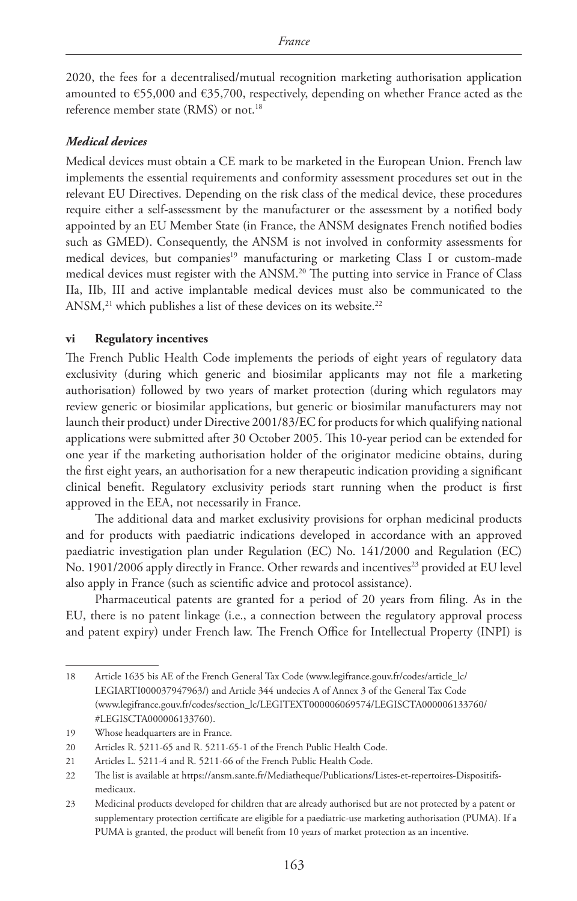2020, the fees for a decentralised/mutual recognition marketing authorisation application amounted to  $\epsilon$ 55,000 and  $\epsilon$ 35,700, respectively, depending on whether France acted as the reference member state (RMS) or not.18

### *Medical devices*

Medical devices must obtain a CE mark to be marketed in the European Union. French law implements the essential requirements and conformity assessment procedures set out in the relevant EU Directives. Depending on the risk class of the medical device, these procedures require either a self-assessment by the manufacturer or the assessment by a notified body appointed by an EU Member State (in France, the ANSM designates French notified bodies such as GMED). Consequently, the ANSM is not involved in conformity assessments for medical devices, but companies<sup>19</sup> manufacturing or marketing Class I or custom-made medical devices must register with the ANSM.20 The putting into service in France of Class IIa, IIb, III and active implantable medical devices must also be communicated to the ANSM,<sup>21</sup> which publishes a list of these devices on its website.<sup>22</sup>

#### **vi Regulatory incentives**

The French Public Health Code implements the periods of eight years of regulatory data exclusivity (during which generic and biosimilar applicants may not file a marketing authorisation) followed by two years of market protection (during which regulators may review generic or biosimilar applications, but generic or biosimilar manufacturers may not launch their product) under Directive 2001/83/EC for products for which qualifying national applications were submitted after 30 October 2005. This 10-year period can be extended for one year if the marketing authorisation holder of the originator medicine obtains, during the first eight years, an authorisation for a new therapeutic indication providing a significant clinical benefit. Regulatory exclusivity periods start running when the product is first approved in the EEA, not necessarily in France.

The additional data and market exclusivity provisions for orphan medicinal products and for products with paediatric indications developed in accordance with an approved paediatric investigation plan under Regulation (EC) No. 141/2000 and Regulation (EC) No. 1901/2006 apply directly in France. Other rewards and incentives<sup>23</sup> provided at EU level also apply in France (such as scientific advice and protocol assistance).

Pharmaceutical patents are granted for a period of 20 years from filing. As in the EU, there is no patent linkage (i.e., a connection between the regulatory approval process and patent expiry) under French law. The French Office for Intellectual Property (INPI) is

<sup>18</sup> Article 1635 bis AE of the French General Tax Code (www.legifrance.gouv.fr/codes/article\_lc/ LEGIARTI000037947963/) and Article 344 undecies A of Annex 3 of the General Tax Code (www.legifrance.gouv.fr/codes/section\_lc/LEGITEXT000006069574/LEGISCTA000006133760/ #LEGISCTA000006133760).

<sup>19</sup> Whose headquarters are in France.

<sup>20</sup> Articles R. 5211-65 and R. 5211-65-1 of the French Public Health Code.

<sup>21</sup> Articles L. 5211-4 and R. 5211-66 of the French Public Health Code.

<sup>22</sup> The list is available at https://ansm.sante.fr/Mediatheque/Publications/Listes-et-repertoires-Dispositifsmedicaux.

<sup>23</sup> Medicinal products developed for children that are already authorised but are not protected by a patent or supplementary protection certificate are eligible for a paediatric-use marketing authorisation (PUMA). If a PUMA is granted, the product will benefit from 10 years of market protection as an incentive.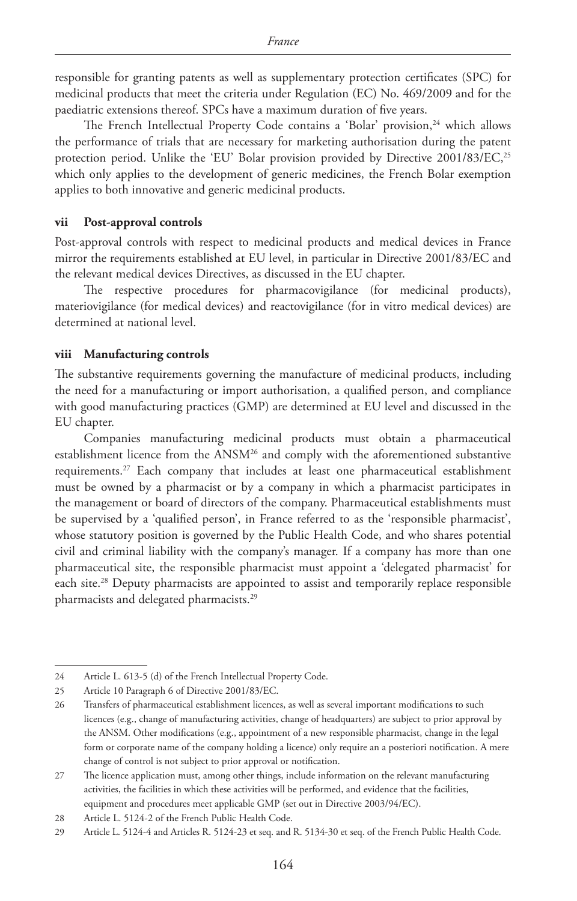responsible for granting patents as well as supplementary protection certificates (SPC) for medicinal products that meet the criteria under Regulation (EC) No. 469/2009 and for the paediatric extensions thereof. SPCs have a maximum duration of five years.

The French Intellectual Property Code contains a 'Bolar' provision,<sup>24</sup> which allows the performance of trials that are necessary for marketing authorisation during the patent protection period. Unlike the 'EU' Bolar provision provided by Directive 2001/83/EC,<sup>25</sup> which only applies to the development of generic medicines, the French Bolar exemption applies to both innovative and generic medicinal products.

#### **vii Post-approval controls**

Post-approval controls with respect to medicinal products and medical devices in France mirror the requirements established at EU level, in particular in Directive 2001/83/EC and the relevant medical devices Directives, as discussed in the EU chapter.

The respective procedures for pharmacovigilance (for medicinal products), materiovigilance (for medical devices) and reactovigilance (for in vitro medical devices) are determined at national level.

### **viii Manufacturing controls**

The substantive requirements governing the manufacture of medicinal products, including the need for a manufacturing or import authorisation, a qualified person, and compliance with good manufacturing practices (GMP) are determined at EU level and discussed in the EU chapter.

Companies manufacturing medicinal products must obtain a pharmaceutical establishment licence from the  $ANSM<sup>26</sup>$  and comply with the aforementioned substantive requirements.27 Each company that includes at least one pharmaceutical establishment must be owned by a pharmacist or by a company in which a pharmacist participates in the management or board of directors of the company. Pharmaceutical establishments must be supervised by a 'qualified person', in France referred to as the 'responsible pharmacist', whose statutory position is governed by the Public Health Code, and who shares potential civil and criminal liability with the company's manager. If a company has more than one pharmaceutical site, the responsible pharmacist must appoint a 'delegated pharmacist' for each site.<sup>28</sup> Deputy pharmacists are appointed to assist and temporarily replace responsible pharmacists and delegated pharmacists.29

<sup>24</sup> Article L. 613-5 (d) of the French Intellectual Property Code.

<sup>25</sup> Article 10 Paragraph 6 of Directive 2001/83/EC.

<sup>26</sup> Transfers of pharmaceutical establishment licences, as well as several important modifications to such licences (e.g., change of manufacturing activities, change of headquarters) are subject to prior approval by the ANSM. Other modifications (e.g., appointment of a new responsible pharmacist, change in the legal form or corporate name of the company holding a licence) only require an a posteriori notification. A mere change of control is not subject to prior approval or notification.

<sup>27</sup> The licence application must, among other things, include information on the relevant manufacturing activities, the facilities in which these activities will be performed, and evidence that the facilities, equipment and procedures meet applicable GMP (set out in Directive 2003/94/EC).

<sup>28</sup> Article L. 5124-2 of the French Public Health Code.

<sup>29</sup> Article L. 5124-4 and Articles R. 5124-23 et seq. and R. 5134-30 et seq. of the French Public Health Code.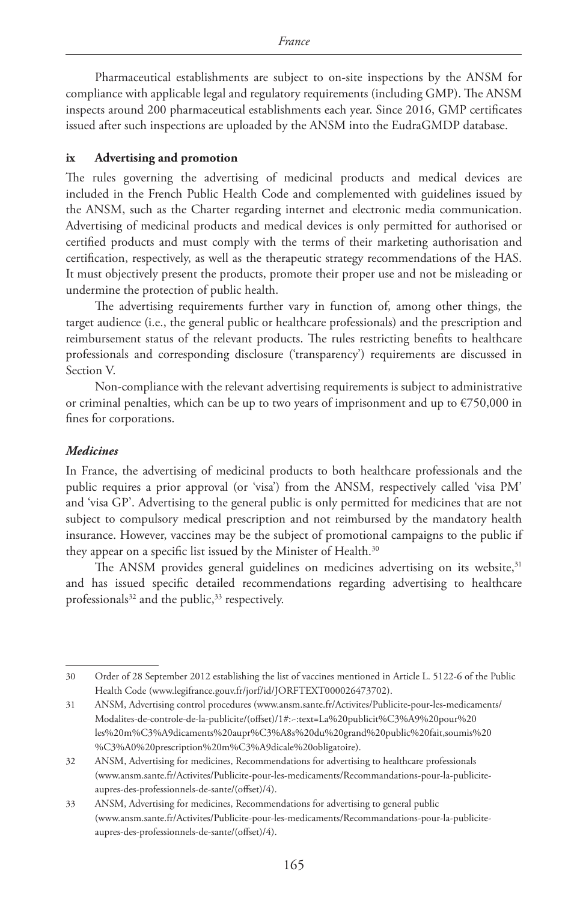Pharmaceutical establishments are subject to on-site inspections by the ANSM for compliance with applicable legal and regulatory requirements (including GMP). The ANSM inspects around 200 pharmaceutical establishments each year. Since 2016, GMP certificates issued after such inspections are uploaded by the ANSM into the EudraGMDP database.

#### **ix Advertising and promotion**

The rules governing the advertising of medicinal products and medical devices are included in the French Public Health Code and complemented with guidelines issued by the ANSM, such as the Charter regarding internet and electronic media communication. Advertising of medicinal products and medical devices is only permitted for authorised or certified products and must comply with the terms of their marketing authorisation and certification, respectively, as well as the therapeutic strategy recommendations of the HAS. It must objectively present the products, promote their proper use and not be misleading or undermine the protection of public health.

The advertising requirements further vary in function of, among other things, the target audience (i.e., the general public or healthcare professionals) and the prescription and reimbursement status of the relevant products. The rules restricting benefits to healthcare professionals and corresponding disclosure ('transparency') requirements are discussed in Section V.

Non-compliance with the relevant advertising requirements is subject to administrative or criminal penalties, which can be up to two years of imprisonment and up to  $\epsilon$ 750,000 in fines for corporations.

### *Medicines*

In France, the advertising of medicinal products to both healthcare professionals and the public requires a prior approval (or 'visa') from the ANSM, respectively called 'visa PM' and 'visa GP'. Advertising to the general public is only permitted for medicines that are not subject to compulsory medical prescription and not reimbursed by the mandatory health insurance. However, vaccines may be the subject of promotional campaigns to the public if they appear on a specific list issued by the Minister of Health.<sup>30</sup>

The ANSM provides general guidelines on medicines advertising on its website,<sup>31</sup> and has issued specific detailed recommendations regarding advertising to healthcare professionals $32$  and the public,  $33$  respectively.

<sup>30</sup> Order of 28 September 2012 establishing the list of vaccines mentioned in Article L. 5122-6 of the Public Health Code (www.legifrance.gouv.fr/jorf/id/JORFTEXT000026473702).

<sup>31</sup> ANSM, Advertising control procedures (www.ansm.sante.fr/Activites/Publicite-pour-les-medicaments/ Modalites-de-controle-de-la-publicite/(offset)/1#:~:text=La%20publicit%C3%A9%20pour%20 les%20m%C3%A9dicaments%20aupr%C3%A8s%20du%20grand%20public%20fait,soumis%20 %C3%A0%20prescription%20m%C3%A9dicale%20obligatoire).

<sup>32</sup> ANSM, Advertising for medicines, Recommendations for advertising to healthcare professionals (www.ansm.sante.fr/Activites/Publicite-pour-les-medicaments/Recommandations-pour-la-publiciteaupres-des-professionnels-de-sante/(offset)/4).

<sup>33</sup> ANSM, Advertising for medicines, Recommendations for advertising to general public (www.ansm.sante.fr/Activites/Publicite-pour-les-medicaments/Recommandations-pour-la-publiciteaupres-des-professionnels-de-sante/(offset)/4).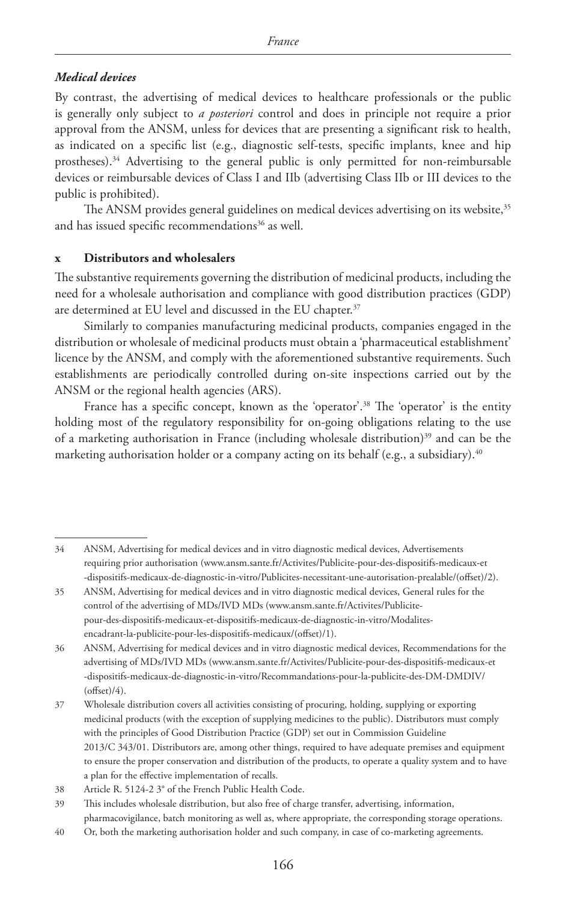# *Medical devices*

By contrast, the advertising of medical devices to healthcare professionals or the public is generally only subject to *a posteriori* control and does in principle not require a prior approval from the ANSM, unless for devices that are presenting a significant risk to health, as indicated on a specific list (e.g., diagnostic self-tests, specific implants, knee and hip prostheses).<sup>34</sup> Advertising to the general public is only permitted for non-reimbursable devices or reimbursable devices of Class I and IIb (advertising Class IIb or III devices to the public is prohibited).

The ANSM provides general guidelines on medical devices advertising on its website,<sup>35</sup> and has issued specific recommendations<sup>36</sup> as well.

# **x Distributors and wholesalers**

The substantive requirements governing the distribution of medicinal products, including the need for a wholesale authorisation and compliance with good distribution practices (GDP) are determined at EU level and discussed in the EU chapter.<sup>37</sup>

Similarly to companies manufacturing medicinal products, companies engaged in the distribution or wholesale of medicinal products must obtain a 'pharmaceutical establishment' licence by the ANSM, and comply with the aforementioned substantive requirements. Such establishments are periodically controlled during on-site inspections carried out by the ANSM or the regional health agencies (ARS).

France has a specific concept, known as the 'operator'.<sup>38</sup> The 'operator' is the entity holding most of the regulatory responsibility for on-going obligations relating to the use of a marketing authorisation in France (including wholesale distribution) $39$  and can be the marketing authorisation holder or a company acting on its behalf (e.g., a subsidiary).<sup>40</sup>

35 ANSM, Advertising for medical devices and in vitro diagnostic medical devices, General rules for the control of the advertising of MDs/IVD MDs (www.ansm.sante.fr/Activites/Publicitepour-des-dispositifs-medicaux-et-dispositifs-medicaux-de-diagnostic-in-vitro/Modalitesencadrant-la-publicite-pour-les-dispositifs-medicaux/(offset)/1).

<sup>34</sup> ANSM, Advertising for medical devices and in vitro diagnostic medical devices, Advertisements requiring prior authorisation (www.ansm.sante.fr/Activites/Publicite-pour-des-dispositifs-medicaux-et -dispositifs-medicaux-de-diagnostic-in-vitro/Publicites-necessitant-une-autorisation-prealable/(offset)/2).

<sup>36</sup> ANSM, Advertising for medical devices and in vitro diagnostic medical devices, Recommendations for the advertising of MDs/IVD MDs (www.ansm.sante.fr/Activites/Publicite-pour-des-dispositifs-medicaux-et -dispositifs-medicaux-de-diagnostic-in-vitro/Recommandations-pour-la-publicite-des-DM-DMDIV/  $(offset)/4).$ 

<sup>37</sup> Wholesale distribution covers all activities consisting of procuring, holding, supplying or exporting medicinal products (with the exception of supplying medicines to the public). Distributors must comply with the principles of Good Distribution Practice (GDP) set out in Commission Guideline 2013/C 343/01. Distributors are, among other things, required to have adequate premises and equipment to ensure the proper conservation and distribution of the products, to operate a quality system and to have a plan for the effective implementation of recalls.

<sup>38</sup> Article R. 5124-2 3° of the French Public Health Code.

<sup>39</sup> This includes wholesale distribution, but also free of charge transfer, advertising, information, pharmacovigilance, batch monitoring as well as, where appropriate, the corresponding storage operations.

<sup>40</sup> Or, both the marketing authorisation holder and such company, in case of co-marketing agreements.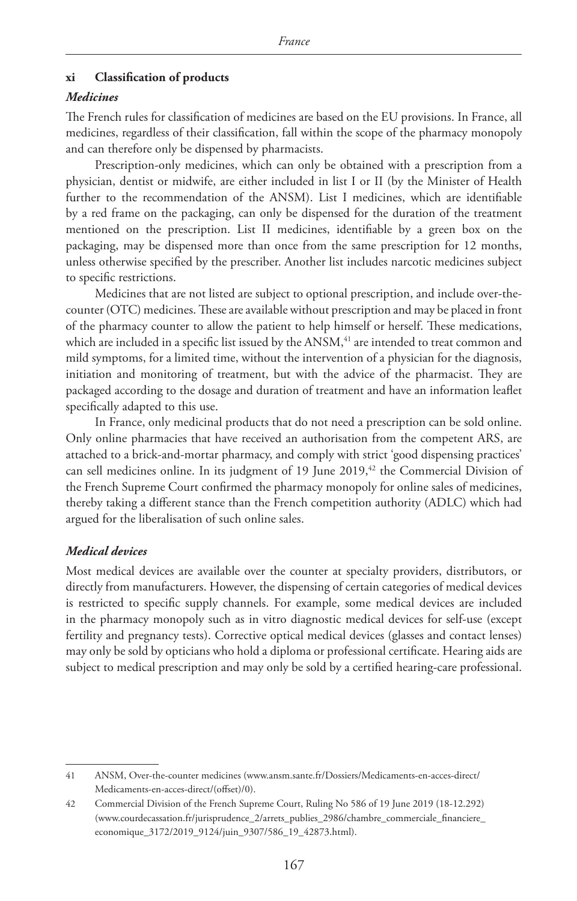# **xi Classification of products**

# *Medicines*

The French rules for classification of medicines are based on the EU provisions. In France, all medicines, regardless of their classification, fall within the scope of the pharmacy monopoly and can therefore only be dispensed by pharmacists.

Prescription-only medicines, which can only be obtained with a prescription from a physician, dentist or midwife, are either included in list I or II (by the Minister of Health further to the recommendation of the ANSM). List I medicines, which are identifiable by a red frame on the packaging, can only be dispensed for the duration of the treatment mentioned on the prescription. List II medicines, identifiable by a green box on the packaging, may be dispensed more than once from the same prescription for 12 months, unless otherwise specified by the prescriber. Another list includes narcotic medicines subject to specific restrictions.

Medicines that are not listed are subject to optional prescription, and include over-thecounter (OTC) medicines. These are available without prescription and may be placed in front of the pharmacy counter to allow the patient to help himself or herself. These medications, which are included in a specific list issued by the ANSM,<sup>41</sup> are intended to treat common and mild symptoms, for a limited time, without the intervention of a physician for the diagnosis, initiation and monitoring of treatment, but with the advice of the pharmacist. They are packaged according to the dosage and duration of treatment and have an information leaflet specifically adapted to this use.

In France, only medicinal products that do not need a prescription can be sold online. Only online pharmacies that have received an authorisation from the competent ARS, are attached to a brick-and-mortar pharmacy, and comply with strict 'good dispensing practices' can sell medicines online. In its judgment of 19 June 2019,<sup>42</sup> the Commercial Division of the French Supreme Court confirmed the pharmacy monopoly for online sales of medicines, thereby taking a different stance than the French competition authority (ADLC) which had argued for the liberalisation of such online sales.

# *Medical devices*

Most medical devices are available over the counter at specialty providers, distributors, or directly from manufacturers. However, the dispensing of certain categories of medical devices is restricted to specific supply channels. For example, some medical devices are included in the pharmacy monopoly such as in vitro diagnostic medical devices for self-use (except fertility and pregnancy tests). Corrective optical medical devices (glasses and contact lenses) may only be sold by opticians who hold a diploma or professional certificate. Hearing aids are subject to medical prescription and may only be sold by a certified hearing-care professional.

<sup>41</sup> ANSM, Over-the-counter medicines (www.ansm.sante.fr/Dossiers/Medicaments-en-acces-direct/ Medicaments-en-acces-direct/(offset)/0).

<sup>42</sup> Commercial Division of the French Supreme Court, Ruling No 586 of 19 June 2019 (18-12.292) (www.courdecassation.fr/jurisprudence\_2/arrets\_publies\_2986/chambre\_commerciale\_financiere\_ economique\_3172/2019\_9124/juin\_9307/586\_19\_42873.html).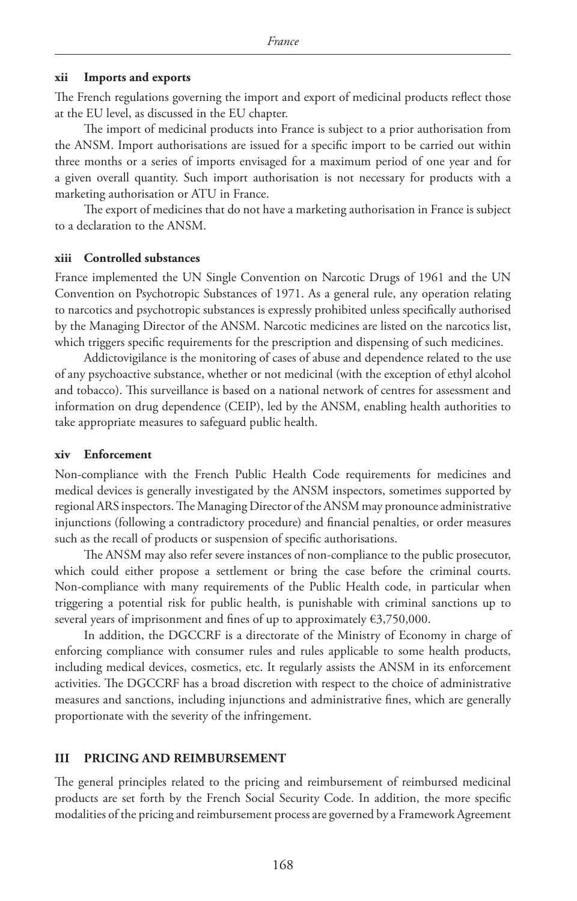#### **xii Imports and exports**

The French regulations governing the import and export of medicinal products reflect those at the EU level, as discussed in the EU chapter.

The import of medicinal products into France is subject to a prior authorisation from the ANSM. Import authorisations are issued for a specific import to be carried out within three months or a series of imports envisaged for a maximum period of one year and for a given overall quantity. Such import authorisation is not necessary for products with a marketing authorisation or ATU in France.

The export of medicines that do not have a marketing authorisation in France is subject to a declaration to the ANSM.

#### **xiii Controlled substances**

France implemented the UN Single Convention on Narcotic Drugs of 1961 and the UN Convention on Psychotropic Substances of 1971. As a general rule, any operation relating to narcotics and psychotropic substances is expressly prohibited unless specifically authorised by the Managing Director of the ANSM. Narcotic medicines are listed on the narcotics list, which triggers specific requirements for the prescription and dispensing of such medicines.

Addictovigilance is the monitoring of cases of abuse and dependence related to the use of any psychoactive substance, whether or not medicinal (with the exception of ethyl alcohol and tobacco). This surveillance is based on a national network of centres for assessment and information on drug dependence (CEIP), led by the ANSM, enabling health authorities to take appropriate measures to safeguard public health.

#### **xiv Enforcement**

Non-compliance with the French Public Health Code requirements for medicines and medical devices is generally investigated by the ANSM inspectors, sometimes supported by regional ARS inspectors. The Managing Director of the ANSM may pronounce administrative injunctions (following a contradictory procedure) and financial penalties, or order measures such as the recall of products or suspension of specific authorisations.

The ANSM may also refer severe instances of non-compliance to the public prosecutor, which could either propose a settlement or bring the case before the criminal courts. Non-compliance with many requirements of the Public Health code, in particular when triggering a potential risk for public health, is punishable with criminal sanctions up to several years of imprisonment and fines of up to approximately €3,750,000.

In addition, the DGCCRF is a directorate of the Ministry of Economy in charge of enforcing compliance with consumer rules and rules applicable to some health products, including medical devices, cosmetics, etc. It regularly assists the ANSM in its enforcement activities. The DGCCRF has a broad discretion with respect to the choice of administrative measures and sanctions, including injunctions and administrative fines, which are generally proportionate with the severity of the infringement.

#### **III PRICING AND REIMBURSEMENT**

The general principles related to the pricing and reimbursement of reimbursed medicinal products are set forth by the French Social Security Code. In addition, the more specific modalities of the pricing and reimbursement process are governed by a Framework Agreement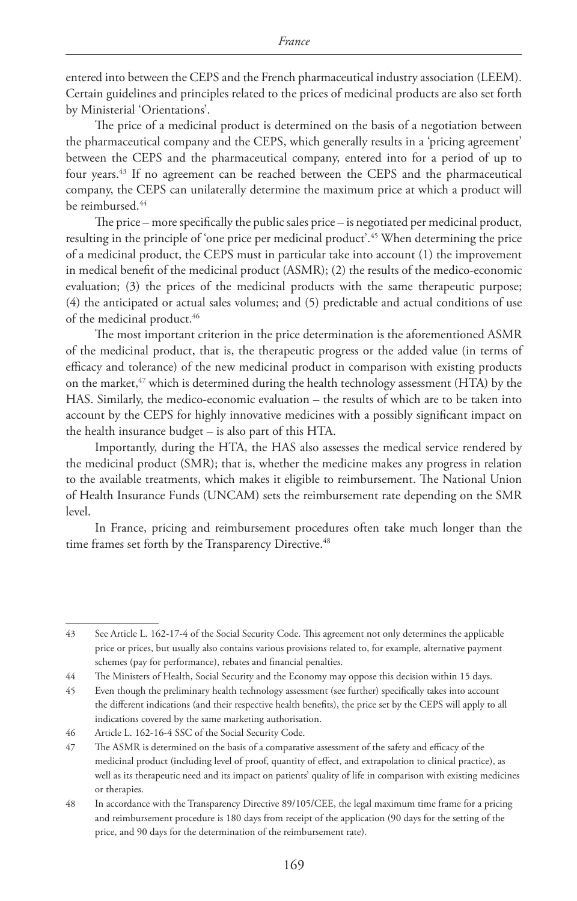entered into between the CEPS and the French pharmaceutical industry association (LEEM). Certain guidelines and principles related to the prices of medicinal products are also set forth by Ministerial 'Orientations'.

The price of a medicinal product is determined on the basis of a negotiation between the pharmaceutical company and the CEPS, which generally results in a 'pricing agreement' between the CEPS and the pharmaceutical company, entered into for a period of up to four years.43 If no agreement can be reached between the CEPS and the pharmaceutical company, the CEPS can unilaterally determine the maximum price at which a product will be reimbursed.<sup>44</sup>

The price – more specifically the public sales price – is negotiated per medicinal product, resulting in the principle of 'one price per medicinal product'.45 When determining the price of a medicinal product, the CEPS must in particular take into account (1) the improvement in medical benefit of the medicinal product (ASMR); (2) the results of the medico-economic evaluation; (3) the prices of the medicinal products with the same therapeutic purpose; (4) the anticipated or actual sales volumes; and (5) predictable and actual conditions of use of the medicinal product.<sup>46</sup>

The most important criterion in the price determination is the aforementioned ASMR of the medicinal product, that is, the therapeutic progress or the added value (in terms of efficacy and tolerance) of the new medicinal product in comparison with existing products on the market,<sup>47</sup> which is determined during the health technology assessment (HTA) by the HAS. Similarly, the medico-economic evaluation – the results of which are to be taken into account by the CEPS for highly innovative medicines with a possibly significant impact on the health insurance budget – is also part of this HTA.

Importantly, during the HTA, the HAS also assesses the medical service rendered by the medicinal product (SMR); that is, whether the medicine makes any progress in relation to the available treatments, which makes it eligible to reimbursement. The National Union of Health Insurance Funds (UNCAM) sets the reimbursement rate depending on the SMR level.

In France, pricing and reimbursement procedures often take much longer than the time frames set forth by the Transparency Directive.<sup>48</sup>

<sup>43</sup> See Article L. 162-17-4 of the Social Security Code. This agreement not only determines the applicable price or prices, but usually also contains various provisions related to, for example, alternative payment schemes (pay for performance), rebates and financial penalties.

<sup>44</sup> The Ministers of Health, Social Security and the Economy may oppose this decision within 15 days.

<sup>45</sup> Even though the preliminary health technology assessment (see further) specifically takes into account the different indications (and their respective health benefits), the price set by the CEPS will apply to all indications covered by the same marketing authorisation.

<sup>46</sup> Article L. 162-16-4 SSC of the Social Security Code.

<sup>47</sup> The ASMR is determined on the basis of a comparative assessment of the safety and efficacy of the medicinal product (including level of proof, quantity of effect, and extrapolation to clinical practice), as well as its therapeutic need and its impact on patients' quality of life in comparison with existing medicines or therapies.

<sup>48</sup> In accordance with the Transparency Directive 89/105/CEE, the legal maximum time frame for a pricing and reimbursement procedure is 180 days from receipt of the application (90 days for the setting of the price, and 90 days for the determination of the reimbursement rate).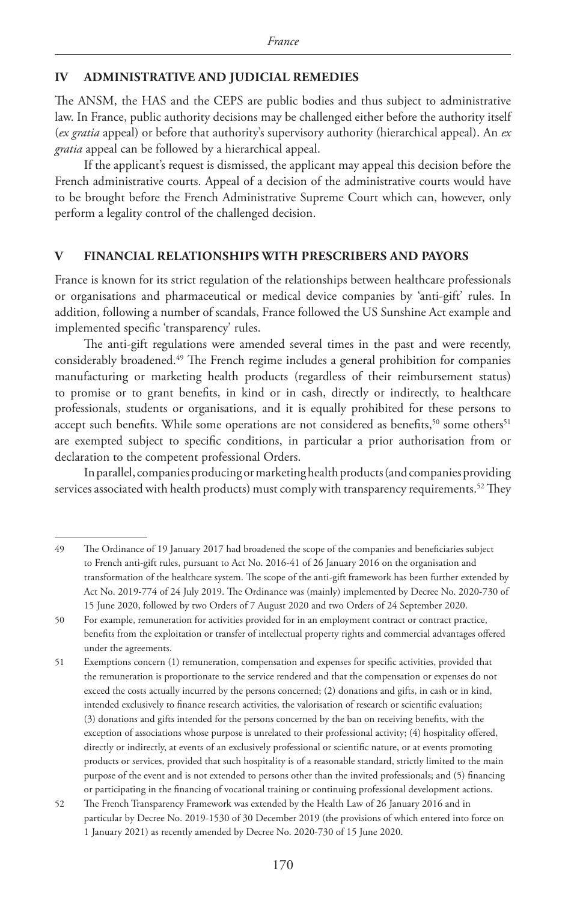# **IV ADMINISTRATIVE AND JUDICIAL REMEDIES**

The ANSM, the HAS and the CEPS are public bodies and thus subject to administrative law. In France, public authority decisions may be challenged either before the authority itself (*ex gratia* appeal) or before that authority's supervisory authority (hierarchical appeal). An *ex gratia* appeal can be followed by a hierarchical appeal.

If the applicant's request is dismissed, the applicant may appeal this decision before the French administrative courts. Appeal of a decision of the administrative courts would have to be brought before the French Administrative Supreme Court which can, however, only perform a legality control of the challenged decision.

# **V FINANCIAL RELATIONSHIPS WITH PRESCRIBERS AND PAYORS**

France is known for its strict regulation of the relationships between healthcare professionals or organisations and pharmaceutical or medical device companies by 'anti-gift' rules. In addition, following a number of scandals, France followed the US Sunshine Act example and implemented specific 'transparency' rules.

The anti-gift regulations were amended several times in the past and were recently, considerably broadened.49 The French regime includes a general prohibition for companies manufacturing or marketing health products (regardless of their reimbursement status) to promise or to grant benefits, in kind or in cash, directly or indirectly, to healthcare professionals, students or organisations, and it is equally prohibited for these persons to accept such benefits. While some operations are not considered as benefits,<sup>50</sup> some others<sup>51</sup> are exempted subject to specific conditions, in particular a prior authorisation from or declaration to the competent professional Orders.

In parallel, companies producing or marketing health products (and companies providing services associated with health products) must comply with transparency requirements.<sup>52</sup> They

<sup>49</sup> The Ordinance of 19 January 2017 had broadened the scope of the companies and beneficiaries subject to French anti-gift rules, pursuant to Act No. 2016-41 of 26 January 2016 on the organisation and transformation of the healthcare system. The scope of the anti-gift framework has been further extended by Act No. 2019-774 of 24 July 2019. The Ordinance was (mainly) implemented by Decree No. 2020-730 of 15 June 2020, followed by two Orders of 7 August 2020 and two Orders of 24 September 2020.

<sup>50</sup> For example, remuneration for activities provided for in an employment contract or contract practice, benefits from the exploitation or transfer of intellectual property rights and commercial advantages offered under the agreements.

<sup>51</sup> Exemptions concern (1) remuneration, compensation and expenses for specific activities, provided that the remuneration is proportionate to the service rendered and that the compensation or expenses do not exceed the costs actually incurred by the persons concerned; (2) donations and gifts, in cash or in kind, intended exclusively to finance research activities, the valorisation of research or scientific evaluation; (3) donations and gifts intended for the persons concerned by the ban on receiving benefits, with the exception of associations whose purpose is unrelated to their professional activity; (4) hospitality offered, directly or indirectly, at events of an exclusively professional or scientific nature, or at events promoting products or services, provided that such hospitality is of a reasonable standard, strictly limited to the main purpose of the event and is not extended to persons other than the invited professionals; and (5) financing or participating in the financing of vocational training or continuing professional development actions.

<sup>52</sup> The French Transparency Framework was extended by the Health Law of 26 January 2016 and in particular by Decree No. 2019-1530 of 30 December 2019 (the provisions of which entered into force on 1 January 2021) as recently amended by Decree No. 2020-730 of 15 June 2020.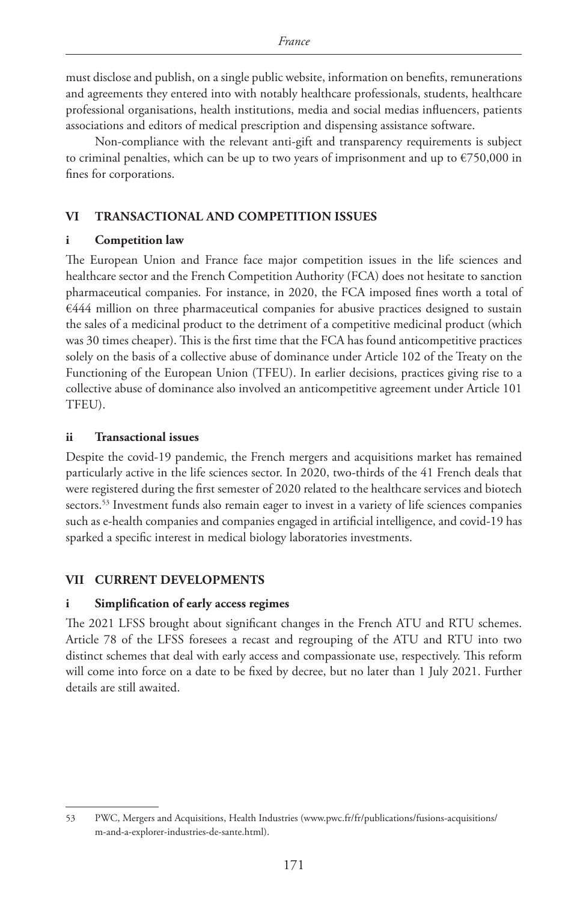must disclose and publish, on a single public website, information on benefits, remunerations and agreements they entered into with notably healthcare professionals, students, healthcare professional organisations, health institutions, media and social medias influencers, patients associations and editors of medical prescription and dispensing assistance software.

Non-compliance with the relevant anti-gift and transparency requirements is subject to criminal penalties, which can be up to two years of imprisonment and up to  $E$ 750,000 in fines for corporations.

# **VI TRANSACTIONAL AND COMPETITION ISSUES**

# **i Competition law**

The European Union and France face major competition issues in the life sciences and healthcare sector and the French Competition Authority (FCA) does not hesitate to sanction pharmaceutical companies. For instance, in 2020, the FCA imposed fines worth a total of  $€444$  million on three pharmaceutical companies for abusive practices designed to sustain the sales of a medicinal product to the detriment of a competitive medicinal product (which was 30 times cheaper). This is the first time that the FCA has found anticompetitive practices solely on the basis of a collective abuse of dominance under Article 102 of the Treaty on the Functioning of the European Union (TFEU). In earlier decisions, practices giving rise to a collective abuse of dominance also involved an anticompetitive agreement under Article 101 TFEU).

# **ii Transactional issues**

Despite the covid-19 pandemic, the French mergers and acquisitions market has remained particularly active in the life sciences sector. In 2020, two-thirds of the 41 French deals that were registered during the first semester of 2020 related to the healthcare services and biotech sectors.<sup>53</sup> Investment funds also remain eager to invest in a variety of life sciences companies such as e-health companies and companies engaged in artificial intelligence, and covid-19 has sparked a specific interest in medical biology laboratories investments.

# **VII CURRENT DEVELOPMENTS**

# **i Simplification of early access regimes**

The 2021 LFSS brought about significant changes in the French ATU and RTU schemes. Article 78 of the LFSS foresees a recast and regrouping of the ATU and RTU into two distinct schemes that deal with early access and compassionate use, respectively. This reform will come into force on a date to be fixed by decree, but no later than 1 July 2021. Further details are still awaited.

<sup>53</sup> PWC, Mergers and Acquisitions, Health Industries (www.pwc.fr/fr/publications/fusions-acquisitions/ m-and-a-explorer-industries-de-sante.html).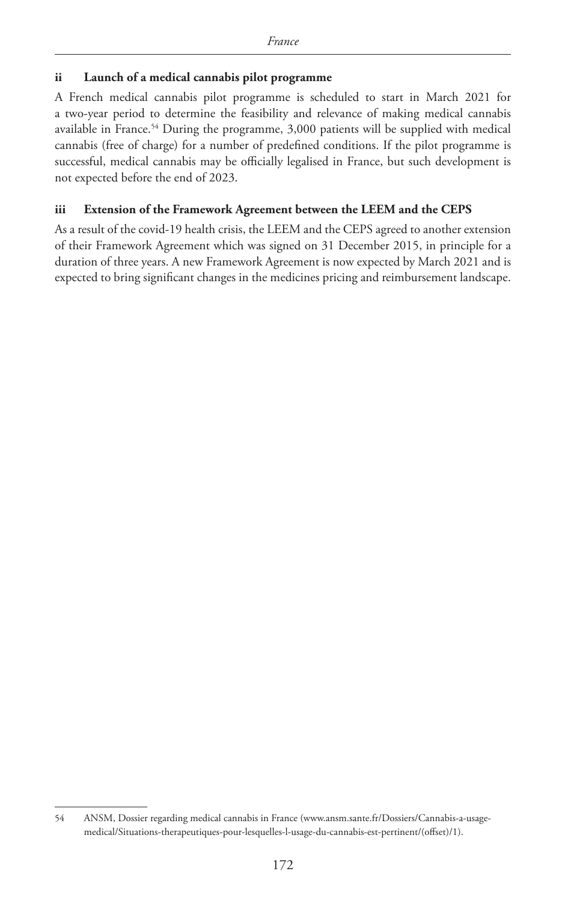# **ii Launch of a medical cannabis pilot programme**

A French medical cannabis pilot programme is scheduled to start in March 2021 for a two-year period to determine the feasibility and relevance of making medical cannabis available in France.<sup>54</sup> During the programme, 3,000 patients will be supplied with medical cannabis (free of charge) for a number of predefined conditions. If the pilot programme is successful, medical cannabis may be officially legalised in France, but such development is not expected before the end of 2023.

# **iii Extension of the Framework Agreement between the LEEM and the CEPS**

As a result of the covid-19 health crisis, the LEEM and the CEPS agreed to another extension of their Framework Agreement which was signed on 31 December 2015, in principle for a duration of three years. A new Framework Agreement is now expected by March 2021 and is expected to bring significant changes in the medicines pricing and reimbursement landscape.

<sup>54</sup> ANSM, Dossier regarding medical cannabis in France (www.ansm.sante.fr/Dossiers/Cannabis-a-usagemedical/Situations-therapeutiques-pour-lesquelles-l-usage-du-cannabis-est-pertinent/(offset)/1).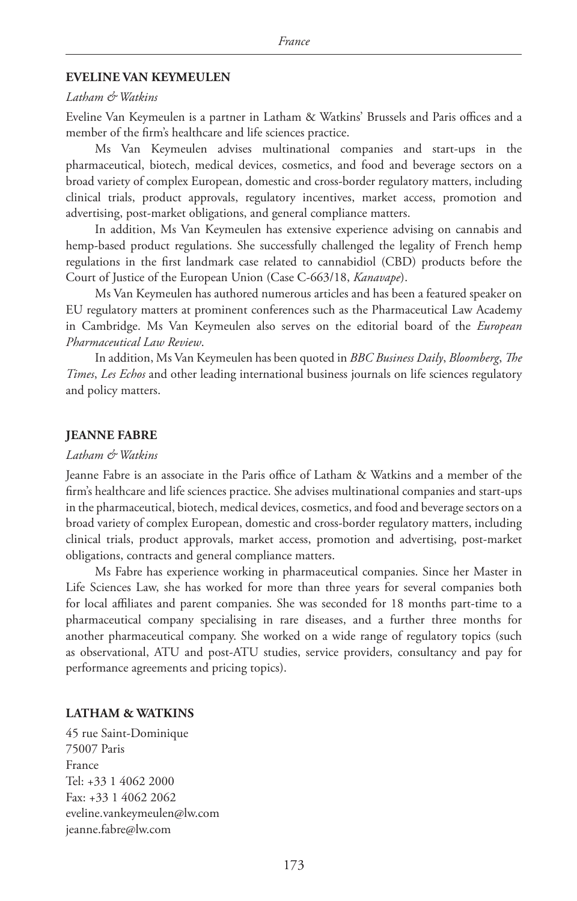#### **EVELINE VAN KEYMEULEN**

#### *Latham & Watkins*

Eveline Van Keymeulen is a partner in Latham & Watkins' Brussels and Paris offices and a member of the firm's healthcare and life sciences practice.

Ms Van Keymeulen advises multinational companies and start-ups in the pharmaceutical, biotech, medical devices, cosmetics, and food and beverage sectors on a broad variety of complex European, domestic and cross-border regulatory matters, including clinical trials, product approvals, regulatory incentives, market access, promotion and advertising, post-market obligations, and general compliance matters.

In addition, Ms Van Keymeulen has extensive experience advising on cannabis and hemp-based product regulations. She successfully challenged the legality of French hemp regulations in the first landmark case related to cannabidiol (CBD) products before the Court of Justice of the European Union (Case C-663/18, *Kanavape*).

Ms Van Keymeulen has authored numerous articles and has been a featured speaker on EU regulatory matters at prominent conferences such as the Pharmaceutical Law Academy in Cambridge. Ms Van Keymeulen also serves on the editorial board of the *European Pharmaceutical Law Review*.

In addition, Ms Van Keymeulen has been quoted in *BBC Business Daily*, *Bloomberg*, *The Times*, *Les Echos* and other leading international business journals on life sciences regulatory and policy matters.

### **JEANNE FABRE**

#### *Latham & Watkins*

Jeanne Fabre is an associate in the Paris office of Latham & Watkins and a member of the firm's healthcare and life sciences practice. She advises multinational companies and start-ups in the pharmaceutical, biotech, medical devices, cosmetics, and food and beverage sectors on a broad variety of complex European, domestic and cross-border regulatory matters, including clinical trials, product approvals, market access, promotion and advertising, post-market obligations, contracts and general compliance matters.

Ms Fabre has experience working in pharmaceutical companies. Since her Master in Life Sciences Law, she has worked for more than three years for several companies both for local affiliates and parent companies. She was seconded for 18 months part-time to a pharmaceutical company specialising in rare diseases, and a further three months for another pharmaceutical company. She worked on a wide range of regulatory topics (such as observational, ATU and post-ATU studies, service providers, consultancy and pay for performance agreements and pricing topics).

# **LATHAM & WATKINS**

45 rue Saint-Dominique 75007 Paris France Tel: +33 1 4062 2000 Fax: +33 1 4062 2062 eveline.vankeymeulen@lw.com jeanne.fabre@lw.com